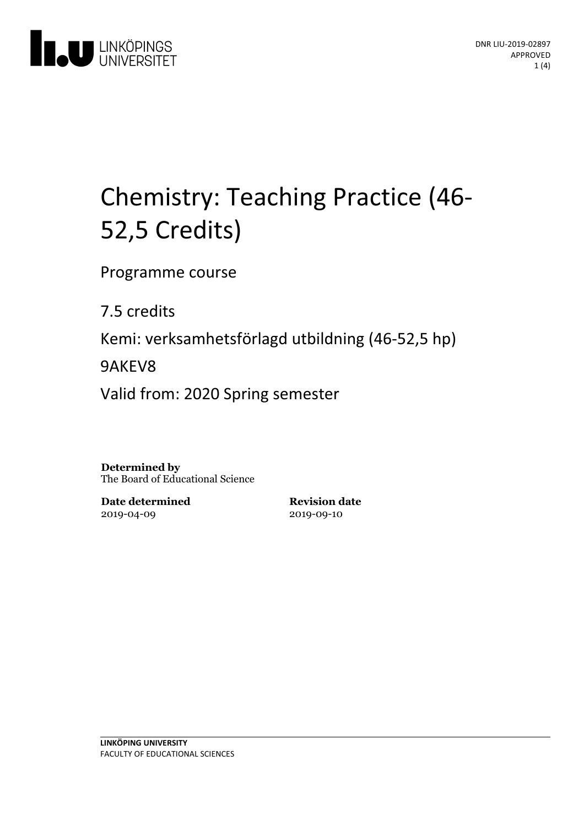

# Chemistry: Teaching Practice (46-<br>52,5 Credits)

Programme course

7.5 credits

Kemi: verksamhetsförlagd utbildning(46-52,5 hp)

9AKEV8

Valid from: 2020 Spring semester

**Determined by** The Board of Educational Science

**Date determined** 2019-04-09

**Revision date** 2019-09-10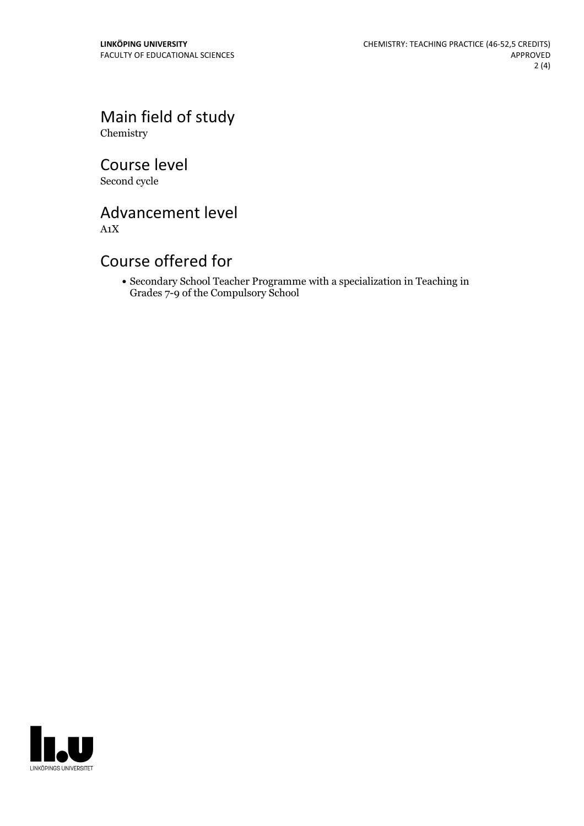Main field of study Chemistry

Course level Second cycle

Advancement level A1X

# Course offered for

Secondary School Teacher Programme with a specialization in Teaching in Grades 7-9 of the Compulsory School

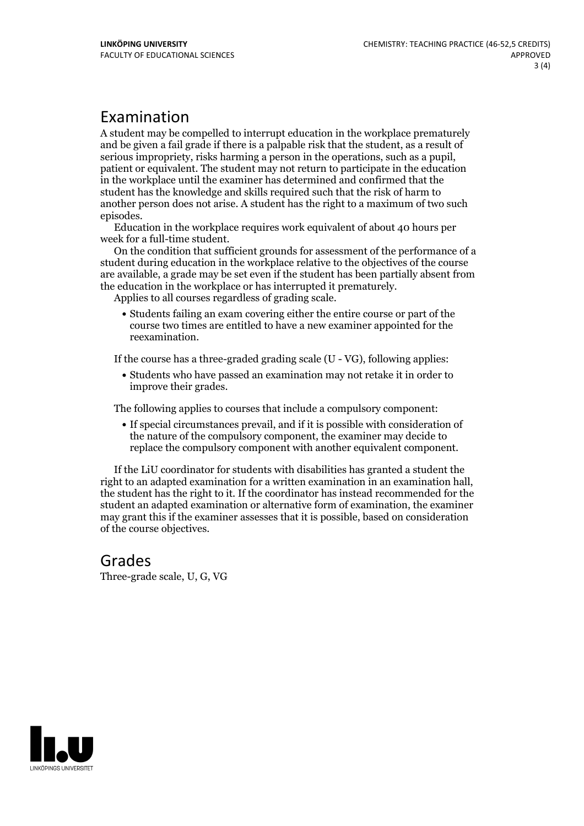### Examination

A student may be compelled to interrupt education in the workplace prematurely and be given a failgrade if there is a palpable risk that the student, as a result of serious impropriety, risks harming <sup>a</sup> person in the operations, such as <sup>a</sup> pupil, patient or equivalent. The student may not return to participate in the education in the workplace until the examiner has determined and confirmed that the student has the knowledge and skills required such that the risk of harm to another person does not arise. A student has the right to a maximum of two such episodes. Education in the workplace requires work equivalent of about <sup>40</sup> hours per

week for <sup>a</sup> full-time student. On the condition that sufficient grounds for assessment of the performance of <sup>a</sup>

student during education in the workplace relative to the objectives of the course are available, a grade may be set even if the student has been partially absent from the education in the workplace or has interrupted it prematurely. Applies to all courses regardless of grading scale.

Students failing an exam covering either the entire course or part of the course two times are entitled to have a new examiner appointed for the reexamination.

If the course has a three-graded grading scale (U - VG), following applies:

Students who have passed an examination may not retake it in order to improve their grades.

The following applies to courses that include a compulsory component:

If special circumstances prevail, and if it is possible with consideration of the nature of the compulsory component, the examiner may decide to replace the compulsory component with another equivalent component.

If the LiU coordinator for students with disabilities has granted a student the right to an adapted examination for <sup>a</sup> written examination in an examination hall, the student has the right to it. If the coordinator has instead recommended for the student an adapted examination or alternative form of examination, the examiner may grant this if the examiner assesses that it is possible, based on consideration of the course objectives.

# Grades

Three-grade scale, U, G, VG